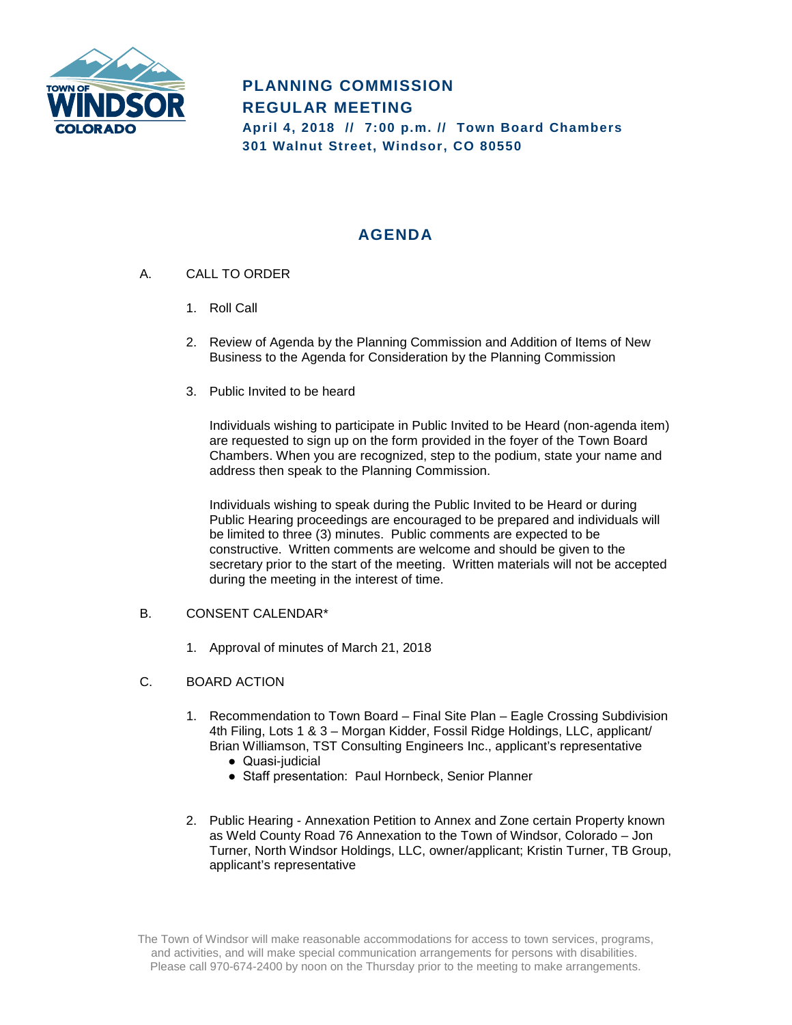

## **AGENDA**

- A. CALL TO ORDER
	- 1. Roll Call
	- 2. Review of Agenda by the Planning Commission and Addition of Items of New Business to the Agenda for Consideration by the Planning Commission
	- 3. Public Invited to be heard

Individuals wishing to participate in Public Invited to be Heard (non-agenda item) are requested to sign up on the form provided in the foyer of the Town Board Chambers. When you are recognized, step to the podium, state your name and address then speak to the Planning Commission.

Individuals wishing to speak during the Public Invited to be Heard or during Public Hearing proceedings are encouraged to be prepared and individuals will be limited to three (3) minutes. Public comments are expected to be constructive. Written comments are welcome and should be given to the secretary prior to the start of the meeting. Written materials will not be accepted during the meeting in the interest of time.

## B. CONSENT CALENDAR\*

- 1. Approval of minutes of March 21, 2018
- C. BOARD ACTION
	- 1. Recommendation to Town Board Final Site Plan Eagle Crossing Subdivision 4th Filing, Lots 1 & 3 – Morgan Kidder, Fossil Ridge Holdings, LLC, applicant/ Brian Williamson, TST Consulting Engineers Inc., applicant's representative
		- Quasi-judicial
		- Staff presentation: Paul Hornbeck, Senior Planner
	- 2. Public Hearing Annexation Petition to Annex and Zone certain Property known as Weld County Road 76 Annexation to the Town of Windsor, Colorado – Jon Turner, North Windsor Holdings, LLC, owner/applicant; Kristin Turner, TB Group, applicant's representative

The Town of Windsor will make reasonable accommodations for access to town services, programs, and activities, and will make special communication arrangements for persons with disabilities. Please call 970-674-2400 by noon on the Thursday prior to the meeting to make arrangements.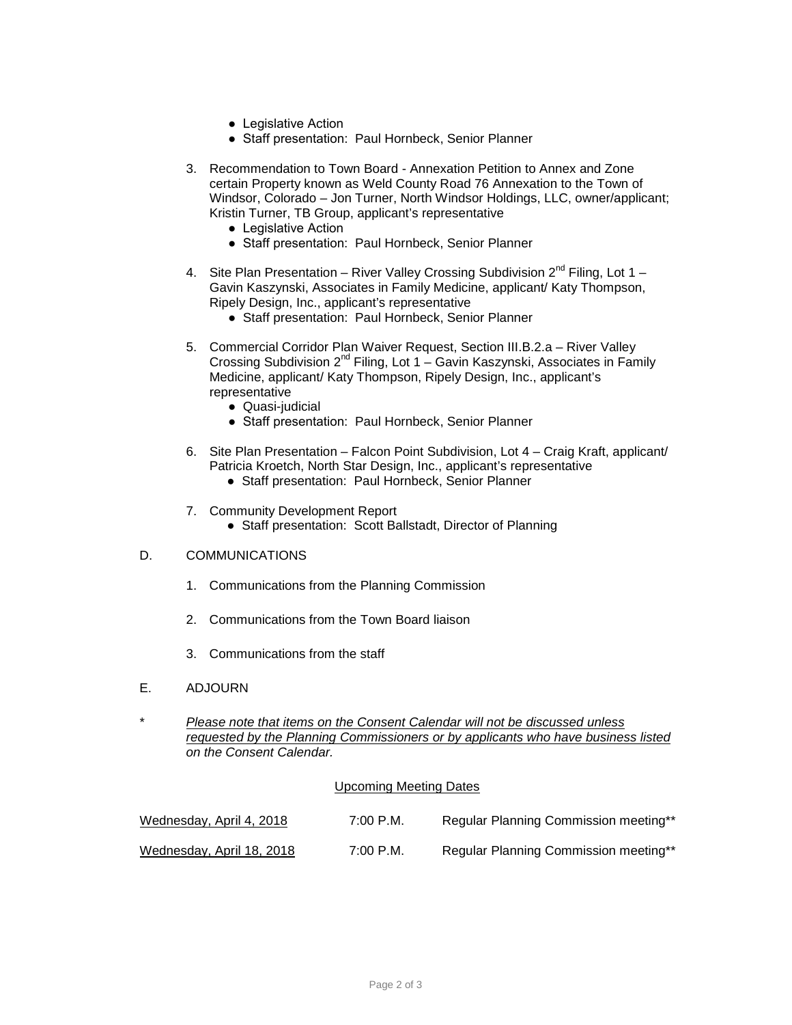- Legislative Action
- Staff presentation: Paul Hornbeck, Senior Planner
- 3. Recommendation to Town Board Annexation Petition to Annex and Zone certain Property known as Weld County Road 76 Annexation to the Town of Windsor, Colorado – Jon Turner, North Windsor Holdings, LLC, owner/applicant; Kristin Turner, TB Group, applicant's representative
	- Legislative Action
	- Staff presentation: Paul Hornbeck, Senior Planner
- 4. Site Plan Presentation River Valley Crossing Subdivision  $2^{nd}$  Filing, Lot 1 Gavin Kaszynski, Associates in Family Medicine, applicant/ Katy Thompson, Ripely Design, Inc., applicant's representative
	- Staff presentation: Paul Hornbeck, Senior Planner
- 5. Commercial Corridor Plan Waiver Request, Section III.B.2.a River Valley Crossing Subdivision 2<sup>nd</sup> Filing, Lot 1 – Gavin Kaszynski, Associates in Family Medicine, applicant/ Katy Thompson, Ripely Design, Inc., applicant's representative
	- Quasi-judicial
	- Staff presentation: Paul Hornbeck, Senior Planner
- 6. Site Plan Presentation Falcon Point Subdivision, Lot 4 Craig Kraft, applicant/ Patricia Kroetch, North Star Design, Inc., applicant's representative
	- Staff presentation: Paul Hornbeck, Senior Planner
- 7. Community Development Report
	- Staff presentation: Scott Ballstadt, Director of Planning

## D. COMMUNICATIONS

- 1. Communications from the Planning Commission
- 2. Communications from the Town Board liaison
- 3. Communications from the staff
- E. ADJOURN
- \* *Please note that items on the Consent Calendar will not be discussed unless requested by the Planning Commissioners or by applicants who have business listed on the Consent Calendar.*

## Upcoming Meeting Dates

| Wednesday, April 4, 2018  | 7:00 P.M. | Regular Planning Commission meeting** |
|---------------------------|-----------|---------------------------------------|
| Wednesday, April 18, 2018 | 7:00 P.M. | Regular Planning Commission meeting** |